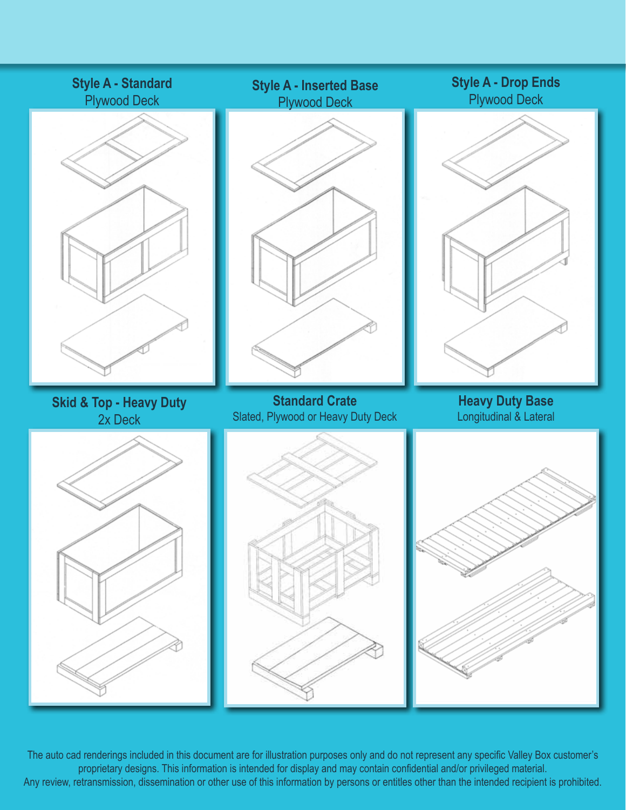

The auto cad renderings included in this document are for illustration purposes only and do not represent any specific Valley Box customer's proprietary designs. This information is intended for display and may contain confidential and/or privileged material. Any review, retransmission, dissemination or other use of this information by persons or entitles other than the intended recipient is prohibited.